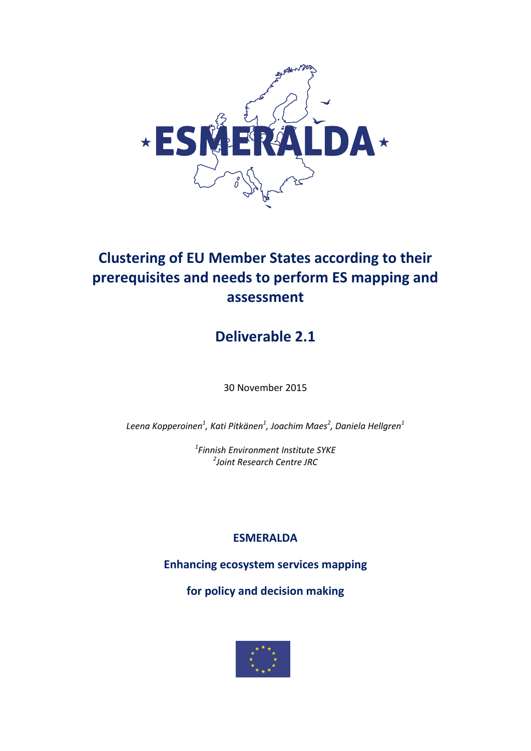

# **Clustering of EU Member States according to their prerequisites and needs to perform ES mapping and assessment**

# **Deliverable 2.1**

30 November 2015

*Leena Kopperoinen<sup>1</sup> , Kati Pitkänen<sup>1</sup> , Joachim Maes<sup>2</sup> , Daniela Hellgren<sup>1</sup>*

*1 Finnish Environment Institute SYKE 2 Joint Research Centre JRC*

## **ESMERALDA**

**Enhancing ecosystem services mapping** 

**for policy and decision making**

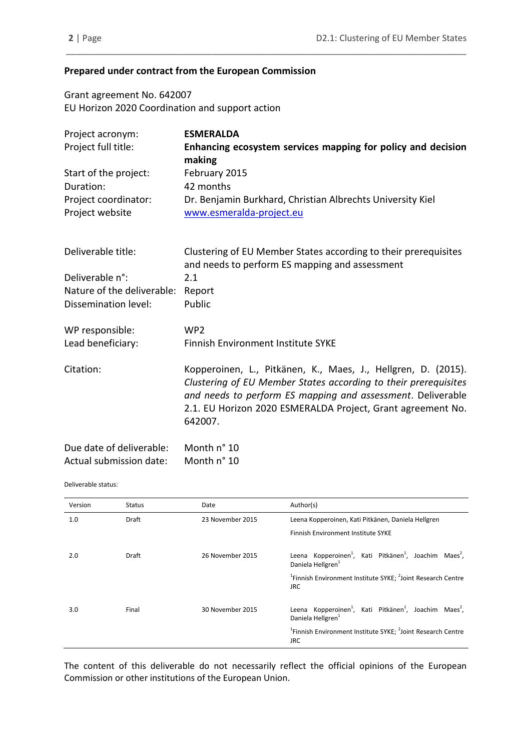## **Prepared under contract from the European Commission**

Grant agreement No. 642007 EU Horizon 2020 Coordination and support action

| Project acronym:           | <b>ESMERALDA</b>                                                                                                                                                                                                                                                          |
|----------------------------|---------------------------------------------------------------------------------------------------------------------------------------------------------------------------------------------------------------------------------------------------------------------------|
| Project full title:        | Enhancing ecosystem services mapping for policy and decision                                                                                                                                                                                                              |
|                            | making                                                                                                                                                                                                                                                                    |
| Start of the project:      | February 2015                                                                                                                                                                                                                                                             |
| Duration:                  | 42 months                                                                                                                                                                                                                                                                 |
| Project coordinator:       | Dr. Benjamin Burkhard, Christian Albrechts University Kiel                                                                                                                                                                                                                |
| Project website            | www.esmeralda-project.eu                                                                                                                                                                                                                                                  |
| Deliverable title:         | Clustering of EU Member States according to their prerequisites<br>and needs to perform ES mapping and assessment                                                                                                                                                         |
| Deliverable n°:            | 2.1                                                                                                                                                                                                                                                                       |
| Nature of the deliverable: | Report                                                                                                                                                                                                                                                                    |
| Dissemination level:       | Public                                                                                                                                                                                                                                                                    |
| WP responsible:            | WP <sub>2</sub>                                                                                                                                                                                                                                                           |
| Lead beneficiary:          | Finnish Environment Institute SYKE                                                                                                                                                                                                                                        |
| Citation:                  | Kopperoinen, L., Pitkänen, K., Maes, J., Hellgren, D. (2015).<br>Clustering of EU Member States according to their prerequisites<br>and needs to perform ES mapping and assessment. Deliverable<br>2.1. EU Horizon 2020 ESMERALDA Project, Grant agreement No.<br>642007. |
| Due date of deliverable:   | Month n° 10                                                                                                                                                                                                                                                               |

\_\_\_\_\_\_\_\_\_\_\_\_\_\_\_\_\_\_\_\_\_\_\_\_\_\_\_\_\_\_\_\_\_\_\_\_\_\_\_\_\_\_\_\_\_\_\_\_\_\_\_\_\_\_\_\_\_\_\_\_\_\_\_\_\_\_\_\_\_\_\_\_\_\_\_\_\_\_\_\_\_\_

| DUC UALC OF UCHVETABLE. | IVIUILIIII LU |
|-------------------------|---------------|
| Actual submission date: | Month n° 10   |

#### Deliverable status:

| Version | <b>Status</b> | Date             | Author(s)                                                                                                                  |
|---------|---------------|------------------|----------------------------------------------------------------------------------------------------------------------------|
| 1.0     | <b>Draft</b>  | 23 November 2015 | Leena Kopperoinen, Kati Pitkänen, Daniela Hellgren                                                                         |
|         |               |                  | Finnish Environment Institute SYKE                                                                                         |
| 2.0     | <b>Draft</b>  | 26 November 2015 | Leena Kopperoinen <sup>1</sup> , Kati Pitkänen <sup>1</sup> , Joachim Maes <sup>2</sup> ,<br>Daniela Hellgren <sup>1</sup> |
|         |               |                  | <sup>1</sup> Finnish Environment Institute SYKE; <sup>2</sup> Joint Research Centre<br><b>JRC</b>                          |
| 3.0     | Final         | 30 November 2015 | Leena Kopperoinen <sup>1</sup> , Kati Pitkänen <sup>1</sup> , Joachim Maes <sup>2</sup> ,<br>Daniela Hellgren <sup>1</sup> |
|         |               |                  | <sup>1</sup> Finnish Environment Institute SYKE; <sup>2</sup> Joint Research Centre<br>JRC.                                |

The content of this deliverable do not necessarily reflect the official opinions of the European Commission or other institutions of the European Union.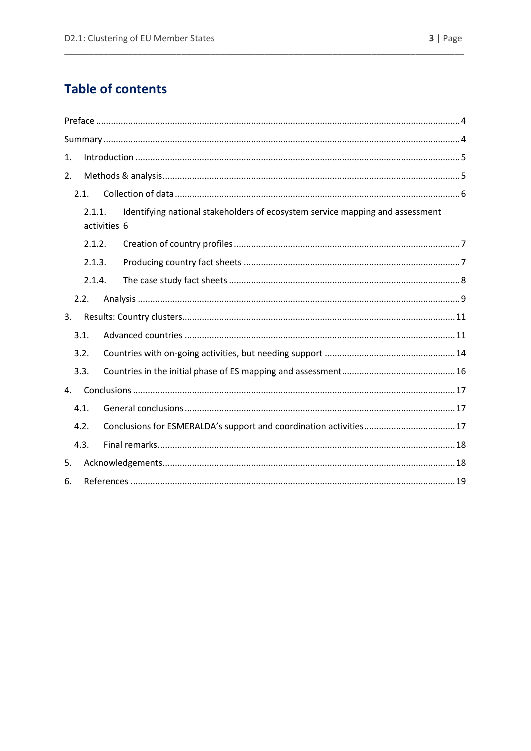# **Table of contents**

| 1.             |        |              |                                                                               |
|----------------|--------|--------------|-------------------------------------------------------------------------------|
| 2.             |        |              |                                                                               |
|                | 2.1.   |              |                                                                               |
|                | 2.1.1. | activities 6 | Identifying national stakeholders of ecosystem service mapping and assessment |
|                | 2.1.2. |              |                                                                               |
|                | 2.1.3. |              |                                                                               |
|                | 2.1.4. |              |                                                                               |
|                | 2.2.   |              |                                                                               |
| 3.             |        |              |                                                                               |
|                | 3.1.   |              |                                                                               |
|                | 3.2.   |              |                                                                               |
|                | 3.3.   |              |                                                                               |
| $\mathbf{4}$ . |        |              |                                                                               |
|                | 4.1.   |              |                                                                               |
|                | 4.2.   |              |                                                                               |
|                | 4.3.   |              |                                                                               |
| 5.             |        |              |                                                                               |
| 6.             |        |              |                                                                               |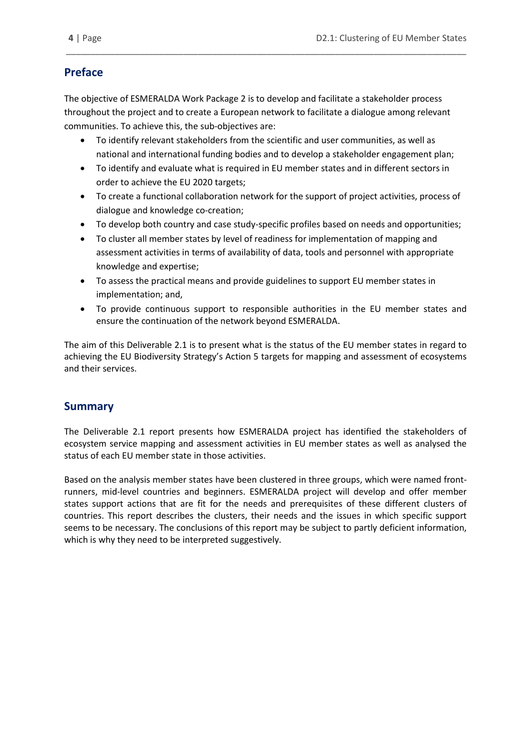## <span id="page-3-0"></span>**Preface**

The objective of ESMERALDA Work Package 2 is to develop and facilitate a stakeholder process throughout the project and to create a European network to facilitate a dialogue among relevant communities. To achieve this, the sub-objectives are:

\_\_\_\_\_\_\_\_\_\_\_\_\_\_\_\_\_\_\_\_\_\_\_\_\_\_\_\_\_\_\_\_\_\_\_\_\_\_\_\_\_\_\_\_\_\_\_\_\_\_\_\_\_\_\_\_\_\_\_\_\_\_\_\_\_\_\_\_\_\_\_\_\_\_\_\_\_\_\_\_\_\_

- To identify relevant stakeholders from the scientific and user communities, as well as national and international funding bodies and to develop a stakeholder engagement plan;
- To identify and evaluate what is required in EU member states and in different sectors in order to achieve the EU 2020 targets;
- To create a functional collaboration network for the support of project activities, process of dialogue and knowledge co-creation;
- To develop both country and case study-specific profiles based on needs and opportunities;
- To cluster all member states by level of readiness for implementation of mapping and assessment activities in terms of availability of data, tools and personnel with appropriate knowledge and expertise;
- To assess the practical means and provide guidelines to support EU member states in implementation; and,
- To provide continuous support to responsible authorities in the EU member states and ensure the continuation of the network beyond ESMERALDA.

The aim of this Deliverable 2.1 is to present what is the status of the EU member states in regard to achieving the EU Biodiversity Strategy's Action 5 targets for mapping and assessment of ecosystems and their services.

## <span id="page-3-1"></span>**Summary**

The Deliverable 2.1 report presents how ESMERALDA project has identified the stakeholders of ecosystem service mapping and assessment activities in EU member states as well as analysed the status of each EU member state in those activities.

Based on the analysis member states have been clustered in three groups, which were named frontrunners, mid-level countries and beginners. ESMERALDA project will develop and offer member states support actions that are fit for the needs and prerequisites of these different clusters of countries. This report describes the clusters, their needs and the issues in which specific support seems to be necessary. The conclusions of this report may be subject to partly deficient information, which is why they need to be interpreted suggestively.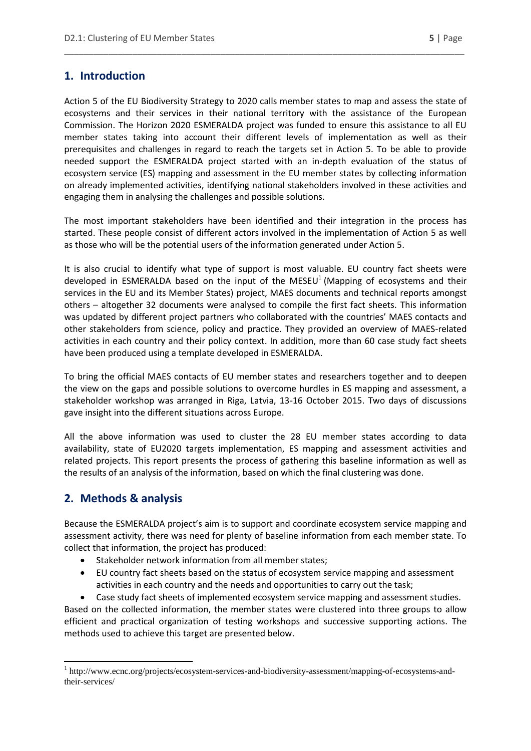## <span id="page-4-0"></span>**1. Introduction**

Action 5 of the EU Biodiversity Strategy to 2020 calls member states to map and assess the state of ecosystems and their services in their national territory with the assistance of the European Commission. The Horizon 2020 ESMERALDA project was funded to ensure this assistance to all EU member states taking into account their different levels of implementation as well as their prerequisites and challenges in regard to reach the targets set in Action 5. To be able to provide needed support the ESMERALDA project started with an in-depth evaluation of the status of ecosystem service (ES) mapping and assessment in the EU member states by collecting information on already implemented activities, identifying national stakeholders involved in these activities and engaging them in analysing the challenges and possible solutions.

\_\_\_\_\_\_\_\_\_\_\_\_\_\_\_\_\_\_\_\_\_\_\_\_\_\_\_\_\_\_\_\_\_\_\_\_\_\_\_\_\_\_\_\_\_\_\_\_\_\_\_\_\_\_\_\_\_\_\_\_\_\_\_\_\_\_\_\_\_\_\_\_\_\_\_\_\_\_\_\_\_\_

The most important stakeholders have been identified and their integration in the process has started. These people consist of different actors involved in the implementation of Action 5 as well as those who will be the potential users of the information generated under Action 5.

It is also crucial to identify what type of support is most valuable. EU country fact sheets were developed in ESMERALDA based on the input of the MESEU<sup>1</sup> (Mapping of ecosystems and their services in the EU and its Member States) project, MAES documents and technical reports amongst others – altogether 32 documents were analysed to compile the first fact sheets. This information was updated by different project partners who collaborated with the countries' MAES contacts and other stakeholders from science, policy and practice. They provided an overview of MAES-related activities in each country and their policy context. In addition, more than 60 case study fact sheets have been produced using a template developed in ESMERALDA.

To bring the official MAES contacts of EU member states and researchers together and to deepen the view on the gaps and possible solutions to overcome hurdles in ES mapping and assessment, a stakeholder workshop was arranged in Riga, Latvia, 13-16 October 2015. Two days of discussions gave insight into the different situations across Europe.

All the above information was used to cluster the 28 EU member states according to data availability, state of EU2020 targets implementation, ES mapping and assessment activities and related projects. This report presents the process of gathering this baseline information as well as the results of an analysis of the information, based on which the final clustering was done.

## <span id="page-4-1"></span>**2. Methods & analysis**

Because the ESMERALDA project's aim is to support and coordinate ecosystem service mapping and assessment activity, there was need for plenty of baseline information from each member state. To collect that information, the project has produced:

- Stakeholder network information from all member states;
- EU country fact sheets based on the status of ecosystem service mapping and assessment activities in each country and the needs and opportunities to carry out the task;
- Case study fact sheets of implemented ecosystem service mapping and assessment studies.

Based on the collected information, the member states were clustered into three groups to allow efficient and practical organization of testing workshops and successive supporting actions. The methods used to achieve this target are presented below.

<sup>1</sup> <sup>1</sup> http://www.ecnc.org/projects/ecosystem-services-and-biodiversity-assessment/mapping-of-ecosystems-andtheir-services/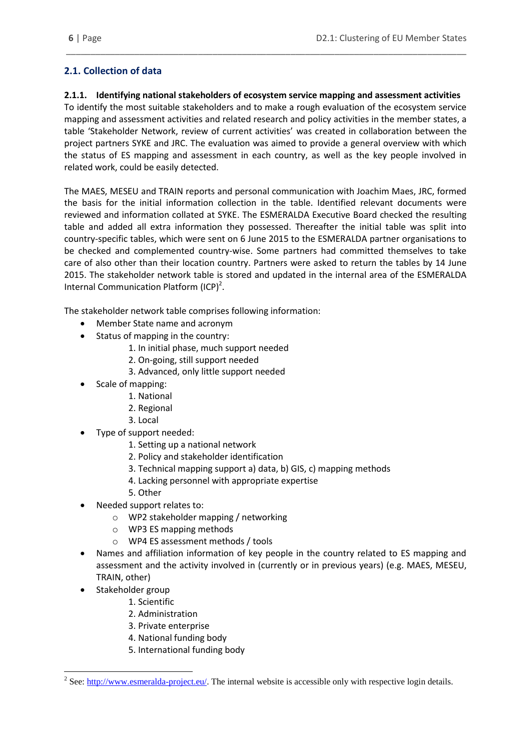## <span id="page-5-0"></span>**2.1. Collection of data**

### <span id="page-5-1"></span>**2.1.1. Identifying national stakeholders of ecosystem service mapping and assessment activities**

\_\_\_\_\_\_\_\_\_\_\_\_\_\_\_\_\_\_\_\_\_\_\_\_\_\_\_\_\_\_\_\_\_\_\_\_\_\_\_\_\_\_\_\_\_\_\_\_\_\_\_\_\_\_\_\_\_\_\_\_\_\_\_\_\_\_\_\_\_\_\_\_\_\_\_\_\_\_\_\_\_\_

To identify the most suitable stakeholders and to make a rough evaluation of the ecosystem service mapping and assessment activities and related research and policy activities in the member states, a table 'Stakeholder Network, review of current activities' was created in collaboration between the project partners SYKE and JRC. The evaluation was aimed to provide a general overview with which the status of ES mapping and assessment in each country, as well as the key people involved in related work, could be easily detected.

The MAES, MESEU and TRAIN reports and personal communication with Joachim Maes, JRC, formed the basis for the initial information collection in the table. Identified relevant documents were reviewed and information collated at SYKE. The ESMERALDA Executive Board checked the resulting table and added all extra information they possessed. Thereafter the initial table was split into country-specific tables, which were sent on 6 June 2015 to the ESMERALDA partner organisations to be checked and complemented country-wise. Some partners had committed themselves to take care of also other than their location country. Partners were asked to return the tables by 14 June 2015. The stakeholder network table is stored and updated in the internal area of the ESMERALDA Internal Communication Platform (ICP)<sup>2</sup>.

The stakeholder network table comprises following information:

- Member State name and acronym
- Status of mapping in the country:
	- 1. In initial phase, much support needed
	- 2. On-going, still support needed
	- 3. Advanced, only little support needed
- Scale of mapping:
	- 1. National
	- 2. Regional
	- 3. Local
- Type of support needed:
	- 1. Setting up a national network
	- 2. Policy and stakeholder identification
	- 3. Technical mapping support a) data, b) GIS, c) mapping methods
	- 4. Lacking personnel with appropriate expertise
	- 5. Other
- Needed support relates to:
	- o WP2 stakeholder mapping / networking
	- o WP3 ES mapping methods
	- o WP4 ES assessment methods / tools
- Names and affiliation information of key people in the country related to ES mapping and assessment and the activity involved in (currently or in previous years) (e.g. MAES, MESEU, TRAIN, other)
- Stakeholder group

**.** 

- 1. Scientific
- 2. Administration
- 3. Private enterprise
- 4. National funding body
- 5. International funding body

<sup>&</sup>lt;sup>2</sup> See: [http://www.esmeralda-project.eu/.](http://www.esmeralda-project.eu/) The internal website is accessible only with respective login details.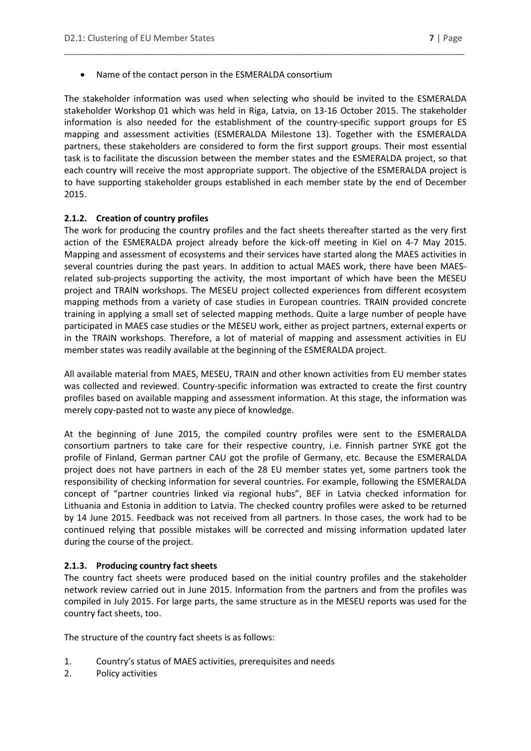Name of the contact person in the ESMERALDA consortium

The stakeholder information was used when selecting who should be invited to the ESMERALDA stakeholder Workshop 01 which was held in Riga, Latvia, on 13-16 October 2015. The stakeholder information is also needed for the establishment of the country-specific support groups for ES mapping and assessment activities (ESMERALDA Milestone 13). Together with the ESMERALDA partners, these stakeholders are considered to form the first support groups. Their most essential task is to facilitate the discussion between the member states and the ESMERALDA project, so that each country will receive the most appropriate support. The objective of the ESMERALDA project is to have supporting stakeholder groups established in each member state by the end of December 2015.

\_\_\_\_\_\_\_\_\_\_\_\_\_\_\_\_\_\_\_\_\_\_\_\_\_\_\_\_\_\_\_\_\_\_\_\_\_\_\_\_\_\_\_\_\_\_\_\_\_\_\_\_\_\_\_\_\_\_\_\_\_\_\_\_\_\_\_\_\_\_\_\_\_\_\_\_\_\_\_\_\_\_

#### <span id="page-6-0"></span>**2.1.2. Creation of country profiles**

The work for producing the country profiles and the fact sheets thereafter started as the very first action of the ESMERALDA project already before the kick-off meeting in Kiel on 4-7 May 2015. Mapping and assessment of ecosystems and their services have started along the MAES activities in several countries during the past years. In addition to actual MAES work, there have been MAESrelated sub-projects supporting the activity, the most important of which have been the MESEU project and TRAIN workshops. The MESEU project collected experiences from different ecosystem mapping methods from a variety of case studies in European countries. TRAIN provided concrete training in applying a small set of selected mapping methods. Quite a large number of people have participated in MAES case studies or the MESEU work, either as project partners, external experts or in the TRAIN workshops. Therefore, a lot of material of mapping and assessment activities in EU member states was readily available at the beginning of the ESMERALDA project.

All available material from MAES, MESEU, TRAIN and other known activities from EU member states was collected and reviewed. Country-specific information was extracted to create the first country profiles based on available mapping and assessment information. At this stage, the information was merely copy-pasted not to waste any piece of knowledge.

At the beginning of June 2015, the compiled country profiles were sent to the ESMERALDA consortium partners to take care for their respective country, i.e. Finnish partner SYKE got the profile of Finland, German partner CAU got the profile of Germany, etc. Because the ESMERALDA project does not have partners in each of the 28 EU member states yet, some partners took the responsibility of checking information for several countries. For example, following the ESMERALDA concept of "partner countries linked via regional hubs", BEF in Latvia checked information for Lithuania and Estonia in addition to Latvia. The checked country profiles were asked to be returned by 14 June 2015. Feedback was not received from all partners. In those cases, the work had to be continued relying that possible mistakes will be corrected and missing information updated later during the course of the project.

#### <span id="page-6-1"></span>**2.1.3. Producing country fact sheets**

The country fact sheets were produced based on the initial country profiles and the stakeholder network review carried out in June 2015. Information from the partners and from the profiles was compiled in July 2015. For large parts, the same structure as in the MESEU reports was used for the country fact sheets, too.

The structure of the country fact sheets is as follows:

- 1. Country's status of MAES activities, prerequisites and needs
- 2. Policy activities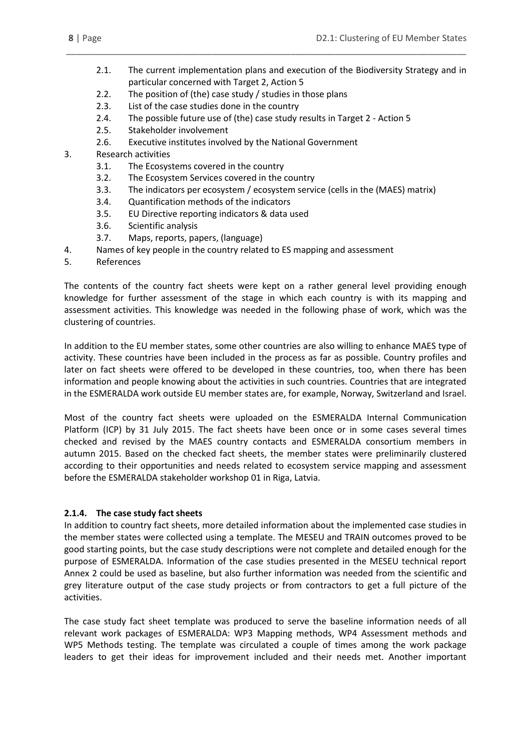2.1. The current implementation plans and execution of the Biodiversity Strategy and in particular concerned with Target 2, Action 5

\_\_\_\_\_\_\_\_\_\_\_\_\_\_\_\_\_\_\_\_\_\_\_\_\_\_\_\_\_\_\_\_\_\_\_\_\_\_\_\_\_\_\_\_\_\_\_\_\_\_\_\_\_\_\_\_\_\_\_\_\_\_\_\_\_\_\_\_\_\_\_\_\_\_\_\_\_\_\_\_\_\_

- 2.2. The position of (the) case study / studies in those plans
- 2.3. List of the case studies done in the country
- 2.4. The possible future use of (the) case study results in Target 2 Action 5
- 2.5. Stakeholder involvement
- 2.6. Executive institutes involved by the National Government
- 3. Research activities
	- 3.1. The Ecosystems covered in the country
	- 3.2. The Ecosystem Services covered in the country
	- 3.3. The indicators per ecosystem / ecosystem service (cells in the (MAES) matrix)
	- 3.4. Quantification methods of the indicators
	- 3.5. EU Directive reporting indicators & data used
	- 3.6. Scientific analysis
	- 3.7. Maps, reports, papers, (language)
- 4. Names of key people in the country related to ES mapping and assessment
- 5. References

The contents of the country fact sheets were kept on a rather general level providing enough knowledge for further assessment of the stage in which each country is with its mapping and assessment activities. This knowledge was needed in the following phase of work, which was the clustering of countries.

In addition to the EU member states, some other countries are also willing to enhance MAES type of activity. These countries have been included in the process as far as possible. Country profiles and later on fact sheets were offered to be developed in these countries, too, when there has been information and people knowing about the activities in such countries. Countries that are integrated in the ESMERALDA work outside EU member states are, for example, Norway, Switzerland and Israel.

Most of the country fact sheets were uploaded on the ESMERALDA Internal Communication Platform (ICP) by 31 July 2015. The fact sheets have been once or in some cases several times checked and revised by the MAES country contacts and ESMERALDA consortium members in autumn 2015. Based on the checked fact sheets, the member states were preliminarily clustered according to their opportunities and needs related to ecosystem service mapping and assessment before the ESMERALDA stakeholder workshop 01 in Riga, Latvia.

#### <span id="page-7-0"></span>**2.1.4. The case study fact sheets**

In addition to country fact sheets, more detailed information about the implemented case studies in the member states were collected using a template. The MESEU and TRAIN outcomes proved to be good starting points, but the case study descriptions were not complete and detailed enough for the purpose of ESMERALDA. Information of the case studies presented in the MESEU technical report Annex 2 could be used as baseline, but also further information was needed from the scientific and grey literature output of the case study projects or from contractors to get a full picture of the activities.

The case study fact sheet template was produced to serve the baseline information needs of all relevant work packages of ESMERALDA: WP3 Mapping methods, WP4 Assessment methods and WP5 Methods testing. The template was circulated a couple of times among the work package leaders to get their ideas for improvement included and their needs met. Another important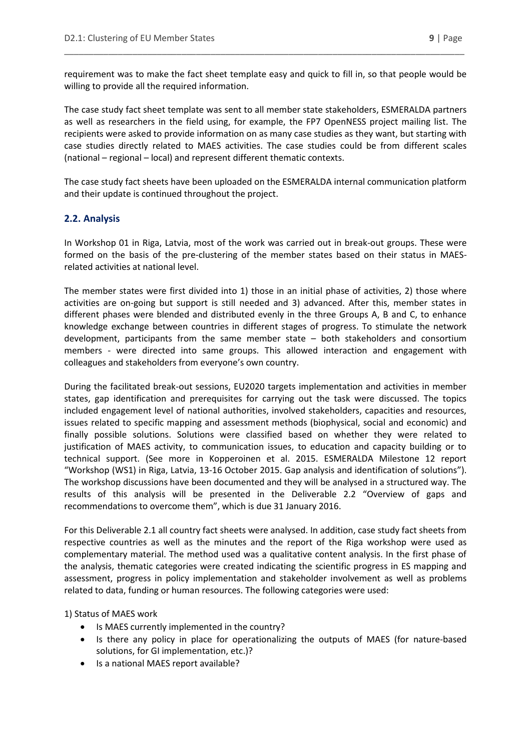requirement was to make the fact sheet template easy and quick to fill in, so that people would be willing to provide all the required information.

\_\_\_\_\_\_\_\_\_\_\_\_\_\_\_\_\_\_\_\_\_\_\_\_\_\_\_\_\_\_\_\_\_\_\_\_\_\_\_\_\_\_\_\_\_\_\_\_\_\_\_\_\_\_\_\_\_\_\_\_\_\_\_\_\_\_\_\_\_\_\_\_\_\_\_\_\_\_\_\_\_\_

The case study fact sheet template was sent to all member state stakeholders, ESMERALDA partners as well as researchers in the field using, for example, the FP7 OpenNESS project mailing list. The recipients were asked to provide information on as many case studies as they want, but starting with case studies directly related to MAES activities. The case studies could be from different scales (national – regional – local) and represent different thematic contexts.

The case study fact sheets have been uploaded on the ESMERALDA internal communication platform and their update is continued throughout the project.

#### <span id="page-8-0"></span>**2.2. Analysis**

In Workshop 01 in Riga, Latvia, most of the work was carried out in break-out groups. These were formed on the basis of the pre-clustering of the member states based on their status in MAESrelated activities at national level.

The member states were first divided into 1) those in an initial phase of activities, 2) those where activities are on-going but support is still needed and 3) advanced. After this, member states in different phases were blended and distributed evenly in the three Groups A, B and C, to enhance knowledge exchange between countries in different stages of progress. To stimulate the network development, participants from the same member state – both stakeholders and consortium members - were directed into same groups. This allowed interaction and engagement with colleagues and stakeholders from everyone's own country.

During the facilitated break-out sessions, EU2020 targets implementation and activities in member states, gap identification and prerequisites for carrying out the task were discussed. The topics included engagement level of national authorities, involved stakeholders, capacities and resources, issues related to specific mapping and assessment methods (biophysical, social and economic) and finally possible solutions. Solutions were classified based on whether they were related to justification of MAES activity, to communication issues, to education and capacity building or to technical support. (See more in Kopperoinen et al. 2015. ESMERALDA Milestone 12 report "Workshop (WS1) in Riga, Latvia, 13-16 October 2015. Gap analysis and identification of solutions"). The workshop discussions have been documented and they will be analysed in a structured way. The results of this analysis will be presented in the Deliverable 2.2 "Overview of gaps and recommendations to overcome them", which is due 31 January 2016.

For this Deliverable 2.1 all country fact sheets were analysed. In addition, case study fact sheets from respective countries as well as the minutes and the report of the Riga workshop were used as complementary material. The method used was a qualitative content analysis. In the first phase of the analysis, thematic categories were created indicating the scientific progress in ES mapping and assessment, progress in policy implementation and stakeholder involvement as well as problems related to data, funding or human resources. The following categories were used:

1) Status of MAES work

- Is MAES currently implemented in the country?
- Is there any policy in place for operationalizing the outputs of MAES (for nature-based solutions, for GI implementation, etc.)?
- Is a national MAES report available?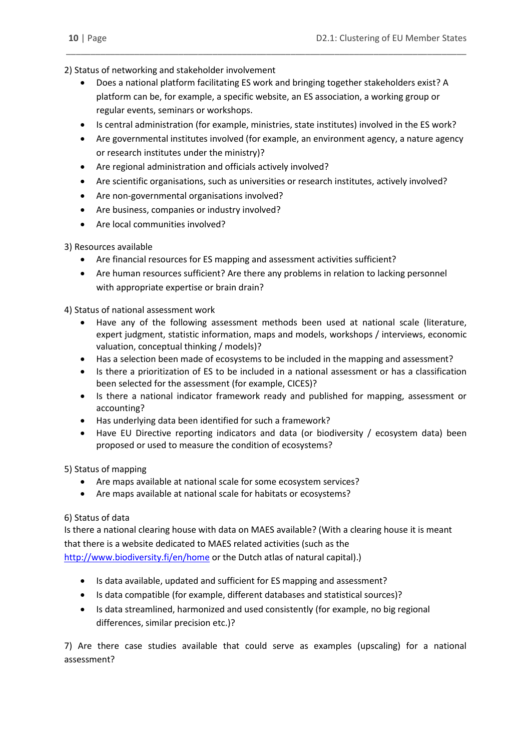2) Status of networking and stakeholder involvement

 Does a national platform facilitating ES work and bringing together stakeholders exist? A platform can be, for example, a specific website, an ES association, a working group or regular events, seminars or workshops.

\_\_\_\_\_\_\_\_\_\_\_\_\_\_\_\_\_\_\_\_\_\_\_\_\_\_\_\_\_\_\_\_\_\_\_\_\_\_\_\_\_\_\_\_\_\_\_\_\_\_\_\_\_\_\_\_\_\_\_\_\_\_\_\_\_\_\_\_\_\_\_\_\_\_\_\_\_\_\_\_\_\_

- Is central administration (for example, ministries, state institutes) involved in the ES work?
- Are governmental institutes involved (for example, an environment agency, a nature agency or research institutes under the ministry)?
- Are regional administration and officials actively involved?
- Are scientific organisations, such as universities or research institutes, actively involved?
- Are non-governmental organisations involved?
- Are business, companies or industry involved?
- Are local communities involved?

#### 3) Resources available

- Are financial resources for ES mapping and assessment activities sufficient?
- Are human resources sufficient? Are there any problems in relation to lacking personnel with appropriate expertise or brain drain?

4) Status of national assessment work

- Have any of the following assessment methods been used at national scale (literature, expert judgment, statistic information, maps and models, workshops / interviews, economic valuation, conceptual thinking / models)?
- Has a selection been made of ecosystems to be included in the mapping and assessment?
- Is there a prioritization of ES to be included in a national assessment or has a classification been selected for the assessment (for example, CICES)?
- Is there a national indicator framework ready and published for mapping, assessment or accounting?
- Has underlying data been identified for such a framework?
- Have EU Directive reporting indicators and data (or biodiversity / ecosystem data) been proposed or used to measure the condition of ecosystems?

5) Status of mapping

- Are maps available at national scale for some ecosystem services?
- Are maps available at national scale for habitats or ecosystems?

#### 6) Status of data

Is there a national clearing house with data on MAES available? (With a clearing house it is meant that there is a website dedicated to MAES related activities (such as the <http://www.biodiversity.fi/en/home> or the Dutch atlas of natural capital).)

- Is data available, updated and sufficient for ES mapping and assessment?
- Is data compatible (for example, different databases and statistical sources)?
- Is data streamlined, harmonized and used consistently (for example, no big regional differences, similar precision etc.)?

7) Are there case studies available that could serve as examples (upscaling) for a national assessment?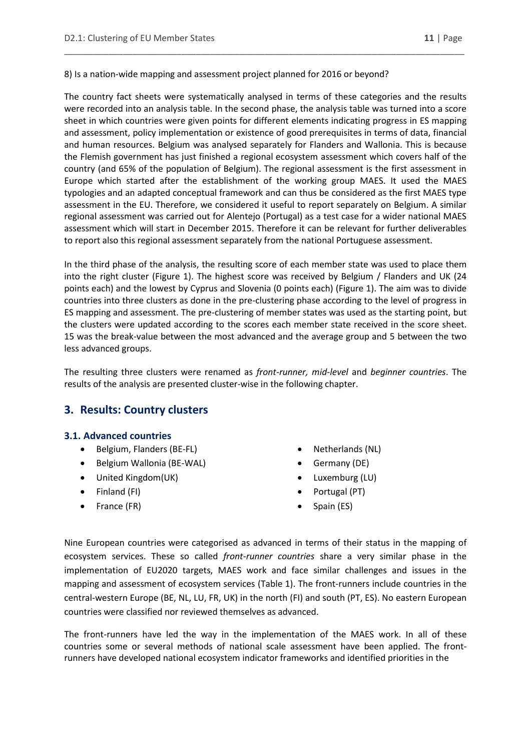8) Is a nation-wide mapping and assessment project planned for 2016 or beyond?

The country fact sheets were systematically analysed in terms of these categories and the results were recorded into an analysis table. In the second phase, the analysis table was turned into a score sheet in which countries were given points for different elements indicating progress in ES mapping and assessment, policy implementation or existence of good prerequisites in terms of data, financial and human resources. Belgium was analysed separately for Flanders and Wallonia. This is because the Flemish government has just finished a regional ecosystem assessment which covers half of the country (and 65% of the population of Belgium). The regional assessment is the first assessment in Europe which started after the establishment of the working group MAES. It used the MAES typologies and an adapted conceptual framework and can thus be considered as the first MAES type assessment in the EU. Therefore, we considered it useful to report separately on Belgium. A similar regional assessment was carried out for Alentejo (Portugal) as a test case for a wider national MAES assessment which will start in December 2015. Therefore it can be relevant for further deliverables to report also this regional assessment separately from the national Portuguese assessment.

\_\_\_\_\_\_\_\_\_\_\_\_\_\_\_\_\_\_\_\_\_\_\_\_\_\_\_\_\_\_\_\_\_\_\_\_\_\_\_\_\_\_\_\_\_\_\_\_\_\_\_\_\_\_\_\_\_\_\_\_\_\_\_\_\_\_\_\_\_\_\_\_\_\_\_\_\_\_\_\_\_\_

In the third phase of the analysis, the resulting score of each member state was used to place them into the right cluster (Figure 1). The highest score was received by Belgium / Flanders and UK (24 points each) and the lowest by Cyprus and Slovenia (0 points each) (Figure 1). The aim was to divide countries into three clusters as done in the pre-clustering phase according to the level of progress in ES mapping and assessment. The pre-clustering of member states was used as the starting point, but the clusters were updated according to the scores each member state received in the score sheet. 15 was the break-value between the most advanced and the average group and 5 between the two less advanced groups.

The resulting three clusters were renamed as *front-runner, mid-level* and *beginner countries*. The results of the analysis are presented cluster-wise in the following chapter.

## <span id="page-10-0"></span>**3. Results: Country clusters**

#### <span id="page-10-1"></span>**3.1. Advanced countries**

- Belgium, Flanders (BE-FL)
- Belgium Wallonia (BE-WAL)
- United Kingdom(UK)
- Finland (FI)
- France (FR)
- Netherlands (NL)
- Germany (DE)
- Luxemburg (LU)
- Portugal (PT)
- Spain (ES)

Nine European countries were categorised as advanced in terms of their status in the mapping of ecosystem services. These so called *front-runner countries* share a very similar phase in the implementation of EU2020 targets, MAES work and face similar challenges and issues in the mapping and assessment of ecosystem services (Table 1). The front-runners include countries in the central-western Europe (BE, NL, LU, FR, UK) in the north (FI) and south (PT, ES). No eastern European countries were classified nor reviewed themselves as advanced.

The front-runners have led the way in the implementation of the MAES work. In all of these countries some or several methods of national scale assessment have been applied. The frontrunners have developed national ecosystem indicator frameworks and identified priorities in the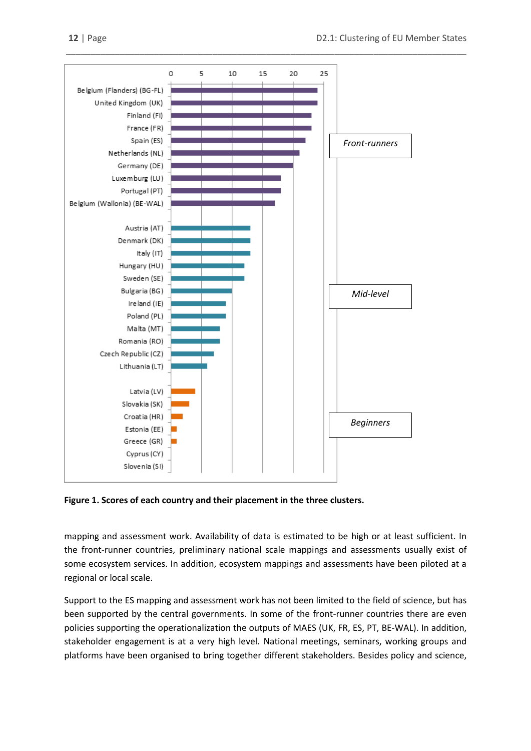

**Figure 1. Scores of each country and their placement in the three clusters.**

mapping and assessment work. Availability of data is estimated to be high or at least sufficient. In the front-runner countries, preliminary national scale mappings and assessments usually exist of some ecosystem services. In addition, ecosystem mappings and assessments have been piloted at a regional or local scale.

Support to the ES mapping and assessment work has not been limited to the field of science, but has been supported by the central governments. In some of the front-runner countries there are even policies supporting the operationalization the outputs of MAES (UK, FR, ES, PT, BE-WAL). In addition, stakeholder engagement is at a very high level. National meetings, seminars, working groups and platforms have been organised to bring together different stakeholders. Besides policy and science,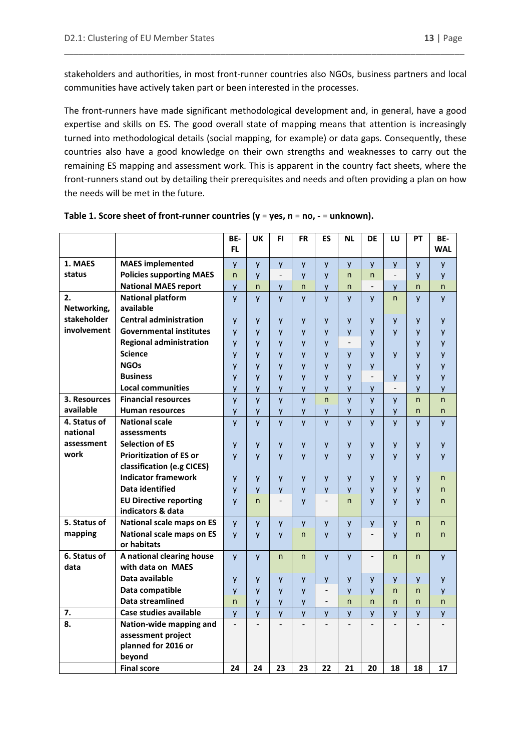stakeholders and authorities, in most front-runner countries also NGOs, business partners and local communities have actively taken part or been interested in the processes.

\_\_\_\_\_\_\_\_\_\_\_\_\_\_\_\_\_\_\_\_\_\_\_\_\_\_\_\_\_\_\_\_\_\_\_\_\_\_\_\_\_\_\_\_\_\_\_\_\_\_\_\_\_\_\_\_\_\_\_\_\_\_\_\_\_\_\_\_\_\_\_\_\_\_\_\_\_\_\_\_\_\_

The front-runners have made significant methodological development and, in general, have a good expertise and skills on ES. The good overall state of mapping means that attention is increasingly turned into methodological details (social mapping, for example) or data gaps. Consequently, these countries also have a good knowledge on their own strengths and weaknesses to carry out the remaining ES mapping and assessment work. This is apparent in the country fact sheets, where the front-runners stand out by detailing their prerequisites and needs and often providing a plan on how the needs will be met in the future.

|              |                                  | BE-                      | <b>UK</b>    | FI.                      | <b>FR</b>    | ES                           | <b>NL</b>         | <b>DE</b>                | LU                       | PT           | BE-        |
|--------------|----------------------------------|--------------------------|--------------|--------------------------|--------------|------------------------------|-------------------|--------------------------|--------------------------|--------------|------------|
|              |                                  | FL.                      |              |                          |              |                              |                   |                          |                          |              | <b>WAL</b> |
| 1. MAES      | <b>MAES</b> implemented          | y                        | y            | y                        | y            | y                            | y                 | y                        | y                        | y            | y          |
| status       | <b>Policies supporting MAES</b>  | $\mathsf{n}$             | $\mathsf{v}$ | $\overline{\phantom{a}}$ | y            | y                            | n                 | n.                       | $\overline{\phantom{a}}$ | V            | y          |
|              | <b>National MAES report</b>      | y                        | n            | y                        | n            | y                            | n                 |                          | y                        | n            | n          |
| 2.           | <b>National platform</b>         | y                        | $\mathsf{V}$ | $\mathsf{v}$             | y            | y                            | y                 | y                        | n                        | y            | y          |
| Networking,  | available                        |                          |              |                          |              |                              |                   |                          |                          |              |            |
| stakeholder  | <b>Central administration</b>    | y                        | y            | y                        | y            | y                            | y                 | y                        | y                        | y            | y          |
| involvement  | <b>Governmental institutes</b>   | $\mathsf{V}$             | $\mathsf{V}$ | $\mathsf{v}$             | y            | y                            | y                 | y                        | $\mathsf{V}$             | y            | y          |
|              | <b>Regional administration</b>   | y                        | y            | y                        | y            | y                            | $\qquad \qquad -$ | y                        |                          | y            | y          |
|              | <b>Science</b>                   | y                        | y            | y                        | y            | y                            | y                 | y                        | y                        | y            | y          |
|              | <b>NGOs</b>                      | y                        | $\mathsf{V}$ | y                        | y            | y                            | y                 | y                        |                          | y            | y          |
|              | <b>Business</b>                  | y                        | $\mathsf{V}$ | y                        | y            | y                            | y                 | $\overline{\phantom{a}}$ | y                        | y            | y          |
|              | <b>Local communities</b>         | y                        | y            | y                        | y            | y                            | y                 | y                        | $\overline{\phantom{a}}$ | y            | y          |
| 3. Resources | <b>Financial resources</b>       | y                        | y            | y                        | y            | $\mathsf{n}$                 | y                 | y                        | y                        | n            | n          |
| available    | <b>Human resources</b>           | y                        | y            | y                        | y            | y                            | y                 | y                        | y                        | $\mathsf{n}$ | n.         |
| 4. Status of | <b>National scale</b>            | y                        | $\mathsf{V}$ | <b>V</b>                 | y            | y                            | y                 | <b>V</b>                 | <b>V</b>                 | y            | y          |
| national     | assessments                      |                          |              |                          |              |                              |                   |                          |                          |              |            |
| assessment   | <b>Selection of ES</b>           | y                        | y            | y                        | y            | y                            | y                 | y                        | y                        | y            | y          |
| work         | <b>Prioritization of ES or</b>   | y                        | $\mathsf{V}$ | y                        | y            | y                            | y                 | y                        | $\mathsf{V}$             | y            | y          |
|              | classification (e.g CICES)       |                          |              |                          |              |                              |                   |                          |                          |              |            |
|              | <b>Indicator framework</b>       | y                        | y            | y                        | y            | y                            | y                 | y                        | y                        | y            | n          |
|              | Data identified                  | y                        | y            | y                        | y            | y                            | y                 | y                        | y                        | y            | n          |
|              | <b>EU Directive reporting</b>    | y                        | $\mathsf{n}$ | $\overline{\phantom{a}}$ | y            | $\qquad \qquad \blacksquare$ | n                 | y                        | $\mathsf{V}$             | y            | n          |
|              | indicators & data                |                          |              |                          |              |                              |                   |                          |                          |              |            |
| 5. Status of | National scale maps on ES        | y                        | y            | y                        | y            | y                            | y                 | y                        | $\mathsf{V}$             | n            | n          |
| mapping      | <b>National scale maps on ES</b> | $\mathsf{v}$             | $\mathsf{V}$ | <b>V</b>                 | $\mathsf{n}$ | <b>V</b>                     | y                 |                          | $\mathsf{V}$             | n.           | n.         |
|              | or habitats                      |                          |              |                          |              |                              |                   |                          |                          |              |            |
| 6. Status of | A national clearing house        | $\mathsf{v}$             | $\mathsf{V}$ | $\mathsf{n}$             | n            | y                            | y                 |                          | n                        | $\mathsf{n}$ | y          |
| data         | with data on MAES                |                          |              |                          |              |                              |                   |                          |                          |              |            |
|              | Data available                   | y                        | y            | y                        | y            | y                            | y                 | y                        | y                        | y            | y          |
|              | Data compatible                  | y                        | $\mathsf{V}$ | y                        | $\mathsf{V}$ | $\qquad \qquad \blacksquare$ | $\mathsf{V}$      | $\mathsf{v}$             | n                        | n            | y          |
|              | Data streamlined                 | $\mathsf{n}$             | y            | y                        | y            | $\overline{\phantom{a}}$     | $\mathsf{n}$      | $\mathsf{n}$             | n                        | $\mathsf{n}$ | n          |
| 7.           | Case studies available           | <b>y</b>                 | y            | y                        | y            | y                            | y                 | <b>y</b>                 | y                        | y            | y          |
| 8.           | Nation-wide mapping and          | $\overline{\phantom{0}}$ |              |                          |              |                              |                   |                          |                          |              |            |
|              | assessment project               |                          |              |                          |              |                              |                   |                          |                          |              |            |
|              | planned for 2016 or              |                          |              |                          |              |                              |                   |                          |                          |              |            |
|              | beyond                           |                          |              |                          |              |                              |                   |                          |                          |              |            |
|              | <b>Final score</b>               | 24                       | 24           | 23                       | 23           | 22                           | 21                | 20                       | 18                       | 18           | 17         |

| Table 1. Score sheet of front-runner countries ( $y = yes$ , $n = no$ , $- = unknown$ ). |  |
|------------------------------------------------------------------------------------------|--|
|------------------------------------------------------------------------------------------|--|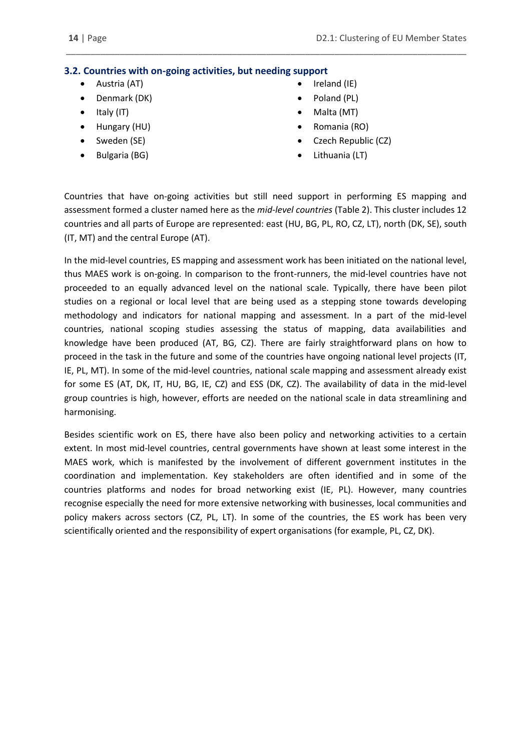### <span id="page-13-0"></span>**3.2. Countries with on-going activities, but needing support**

- Austria (AT)
- Denmark (DK)
- $\bullet$  Italy (IT)
- Hungary (HU)
- Sweden (SE)
- Bulgaria (BG)
- Ireland (IE)
- Poland (PL)
- Malta (MT)
- Romania (RO)
- Czech Republic (CZ)
- Lithuania (LT)

Countries that have on-going activities but still need support in performing ES mapping and assessment formed a cluster named here as the *mid-level countries* (Table 2). This cluster includes 12 countries and all parts of Europe are represented: east (HU, BG, PL, RO, CZ, LT), north (DK, SE), south (IT, MT) and the central Europe (AT).

\_\_\_\_\_\_\_\_\_\_\_\_\_\_\_\_\_\_\_\_\_\_\_\_\_\_\_\_\_\_\_\_\_\_\_\_\_\_\_\_\_\_\_\_\_\_\_\_\_\_\_\_\_\_\_\_\_\_\_\_\_\_\_\_\_\_\_\_\_\_\_\_\_\_\_\_\_\_\_\_\_\_

In the mid-level countries, ES mapping and assessment work has been initiated on the national level, thus MAES work is on-going. In comparison to the front-runners, the mid-level countries have not proceeded to an equally advanced level on the national scale. Typically, there have been pilot studies on a regional or local level that are being used as a stepping stone towards developing methodology and indicators for national mapping and assessment. In a part of the mid-level countries, national scoping studies assessing the status of mapping, data availabilities and knowledge have been produced (AT, BG, CZ). There are fairly straightforward plans on how to proceed in the task in the future and some of the countries have ongoing national level projects (IT, IE, PL, MT). In some of the mid-level countries, national scale mapping and assessment already exist for some ES (AT, DK, IT, HU, BG, IE, CZ) and ESS (DK, CZ). The availability of data in the mid-level group countries is high, however, efforts are needed on the national scale in data streamlining and harmonising.

Besides scientific work on ES, there have also been policy and networking activities to a certain extent. In most mid-level countries, central governments have shown at least some interest in the MAES work, which is manifested by the involvement of different government institutes in the coordination and implementation. Key stakeholders are often identified and in some of the countries platforms and nodes for broad networking exist (IE, PL). However, many countries recognise especially the need for more extensive networking with businesses, local communities and policy makers across sectors (CZ, PL, LT). In some of the countries, the ES work has been very scientifically oriented and the responsibility of expert organisations (for example, PL, CZ, DK).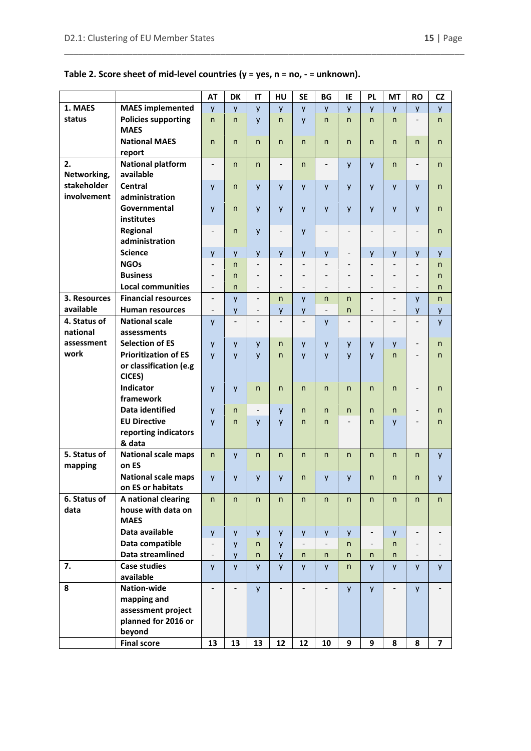## **Table 2. Score sheet of mid-level countries (y** = **yes, n** = **no, -** = **unknown).**

\_\_\_\_\_\_\_\_\_\_\_\_\_\_\_\_\_\_\_\_\_\_\_\_\_\_\_\_\_\_\_\_\_\_\_\_\_\_\_\_\_\_\_\_\_\_\_\_\_\_\_\_\_\_\_\_\_\_\_\_\_\_\_\_\_\_\_\_\_\_\_\_\_\_\_\_\_\_\_\_\_\_

|                            |                                                 | <b>AT</b>                | <b>DK</b>                | IT                       | HU                       | <b>SE</b>                | <b>BG</b>                | IE                           | <b>PL</b>                | <b>MT</b>                | <b>RO</b>                    | <b>CZ</b>      |
|----------------------------|-------------------------------------------------|--------------------------|--------------------------|--------------------------|--------------------------|--------------------------|--------------------------|------------------------------|--------------------------|--------------------------|------------------------------|----------------|
| 1. MAES                    | <b>MAES</b> implemented                         | y                        | $\mathsf{V}$             | y                        | y                        | <b>V</b>                 | V                        | y                            | y                        | y                        | y                            | y              |
| status                     | <b>Policies supporting</b><br><b>MAES</b>       | n                        | $\mathsf{n}$             | y                        | n                        | y                        | n                        | $\mathsf{n}$                 | $\mathsf{n}$             | n                        | $\overline{\phantom{a}}$     | $\mathsf{n}$   |
|                            | <b>National MAES</b><br>report                  | n                        | $\mathsf{n}$             | n                        | $\mathsf{n}$             | n                        | n                        | n.                           | n                        | n                        | $\mathsf{n}$                 | $\mathsf{n}$   |
| 2.<br>Networking,          | <b>National platform</b><br>available           | $\overline{\phantom{0}}$ | $\mathsf{n}$             | n.                       | $\overline{a}$           | n                        | $\overline{\phantom{0}}$ | $\mathsf{V}$                 | y                        | n                        | $\overline{\phantom{m}}$     | $\mathsf{n}$   |
| stakeholder<br>involvement | <b>Central</b>                                  | y                        | $\mathsf{n}$             | y                        | y                        | y                        | y                        | y                            | y                        | y                        | y                            | $\mathsf{n}$   |
|                            | administration<br>Governmental                  | y                        | $\mathsf{n}$             | y                        | y                        | y                        | y                        | y                            | y                        | y                        | y                            | $\mathsf{n}$   |
|                            | institutes<br>Regional                          | $\qquad \qquad -$        | $\mathsf{n}$             | y                        | $\overline{\phantom{0}}$ | y                        | $\overline{\phantom{0}}$ | $\overline{\phantom{a}}$     | $\overline{\phantom{0}}$ | $\overline{\phantom{0}}$ | $\qquad \qquad \blacksquare$ | $\mathsf{n}$   |
|                            | administration                                  |                          |                          |                          |                          |                          |                          |                              |                          |                          |                              |                |
|                            | <b>Science</b>                                  | y                        | $\mathsf{v}$             | y                        | y                        | y                        | y                        | $\qquad \qquad \blacksquare$ | y                        | y                        | y                            | y              |
|                            | <b>NGOs</b>                                     | $\qquad \qquad -$        | n                        | $\overline{\phantom{a}}$ | $\overline{\phantom{0}}$ | $\overline{\phantom{a}}$ | $\overline{\phantom{0}}$ | $\overline{\phantom{a}}$     | $\overline{\phantom{a}}$ | $\overline{\phantom{0}}$ | $\overline{\phantom{a}}$     | $\mathsf{n}$   |
|                            | <b>Business</b>                                 | $\overline{\phantom{a}}$ | $\mathsf{n}$             | $\overline{\phantom{0}}$ |                          | $\overline{a}$           | $\overline{a}$           | $\overline{\phantom{0}}$     | $\overline{\phantom{a}}$ | $\overline{a}$           | $\overline{\phantom{a}}$     | $\mathsf{n}$   |
|                            | <b>Local communities</b>                        | $\overline{\phantom{m}}$ | $\mathsf{n}$             | $\qquad \qquad -$        | $\overline{\phantom{0}}$ |                          | $\overline{a}$           | $\overline{\phantom{0}}$     | $\overline{\phantom{0}}$ | $\overline{\phantom{0}}$ | $\overline{\phantom{a}}$     | $\mathsf{n}$   |
| 3. Resources               | <b>Financial resources</b>                      | $\overline{\phantom{a}}$ | y                        | $\overline{\phantom{0}}$ | $\mathsf{n}$             | y                        | n                        | n.                           | $\overline{\phantom{0}}$ | $\overline{\phantom{0}}$ | y                            | n              |
| available                  | <b>Human resources</b>                          | $\overline{\phantom{0}}$ | y                        |                          | y                        | y                        | $\overline{\phantom{0}}$ | n                            |                          |                          | y                            | y              |
| 4. Status of               | <b>National scale</b>                           | y                        | $\overline{\phantom{a}}$ | $\overline{a}$           | $\overline{a}$           | $\overline{\phantom{a}}$ | y                        |                              |                          | $\overline{a}$           | $\overline{\phantom{m}}$     | y              |
| national                   | assessments                                     |                          |                          |                          |                          |                          |                          |                              |                          |                          |                              |                |
| assessment                 | <b>Selection of ES</b>                          | y                        | $\mathsf{v}$             | y                        | n                        | y                        | y                        | y                            | y                        | y                        | $\overline{\phantom{m}}$     | $\mathsf{n}$   |
| work                       | <b>Prioritization of ES</b>                     | $\mathsf{V}$             | $\mathsf{v}$             | y                        | $\mathsf{n}$             | y                        | $\mathsf{V}$             | $\mathsf{v}$                 | y                        | $\mathsf{n}$             | $\qquad \qquad -$            | $\mathsf{n}$   |
|                            | or classification (e.g                          |                          |                          |                          |                          |                          |                          |                              |                          |                          |                              |                |
|                            | CICES)                                          |                          |                          |                          |                          |                          |                          |                              |                          |                          |                              |                |
|                            | Indicator                                       | y                        | y                        | n.                       | $\mathsf{n}$             | n                        | $\mathsf{n}$             | n.                           | $\mathsf{n}$             | n                        | $\overline{\phantom{a}}$     | $\mathsf{n}$   |
|                            | framework                                       |                          |                          |                          |                          |                          |                          |                              |                          |                          |                              |                |
|                            | <b>Data identified</b>                          | y                        | $\mathsf{n}$             | $\overline{\phantom{0}}$ | y                        | n                        | n                        | n                            | n                        | n                        | $\qquad \qquad \blacksquare$ | $\mathsf{n}$   |
|                            | <b>EU Directive</b>                             | $\mathsf{V}$             | n                        | y                        | y                        | n                        | n                        |                              | $\mathsf{n}$             | y                        |                              | $\mathsf{n}$   |
|                            | reporting indicators                            |                          |                          |                          |                          |                          |                          |                              |                          |                          |                              |                |
|                            | & data                                          |                          |                          |                          |                          |                          |                          |                              |                          |                          |                              |                |
| 5. Status of<br>mapping    | <b>National scale maps</b><br>on ES             | n                        | $\mathsf{v}$             | n                        | $\mathsf{n}$             | n                        | n                        | n.                           | $\mathsf{n}$             | n                        | n                            | y              |
|                            | <b>National scale maps</b><br>on ES or habitats | y                        | y                        | y                        | y                        | n                        | y                        | y                            | n.                       | n                        | n                            | $\mathsf{y}$   |
| 6. Status of               | A national clearing                             | n.                       | n.                       | n                        | $\mathsf{n}$             | n                        | n.                       | n                            | n                        | n                        | n                            | n              |
| data                       | house with data on<br><b>MAES</b>               |                          |                          |                          |                          |                          |                          |                              |                          |                          |                              |                |
|                            | Data available                                  | y                        | y                        | y                        | y                        | y                        | y                        | y                            | $\overline{\phantom{a}}$ | y                        | $\qquad \qquad \blacksquare$ |                |
|                            | Data compatible                                 | $\overline{\phantom{m}}$ | y                        | n                        | y                        | $\overline{\phantom{a}}$ | $\overline{\phantom{0}}$ | n.                           |                          | n                        | $\overline{\phantom{a}}$     |                |
|                            | Data streamlined                                | $\overline{\phantom{a}}$ | y                        | n                        | y                        | n                        | n                        | n                            | n                        | n                        | $\overline{\phantom{a}}$     |                |
| 7.                         | <b>Case studies</b><br>available                | y                        | y                        | y                        | y                        | <b>y</b>                 | <b>y</b>                 | n.                           | y                        | y                        | <b>y</b>                     | <b>y</b>       |
| 8                          | <b>Nation-wide</b>                              | $\overline{\phantom{0}}$ | $\overline{\phantom{m}}$ | <b>y</b>                 | $\overline{a}$           | $\overline{\phantom{m}}$ | $\overline{\phantom{a}}$ | <b>y</b>                     | <b>y</b>                 | $\overline{\phantom{0}}$ | <b>y</b>                     |                |
|                            | mapping and                                     |                          |                          |                          |                          |                          |                          |                              |                          |                          |                              |                |
|                            | assessment project                              |                          |                          |                          |                          |                          |                          |                              |                          |                          |                              |                |
|                            | planned for 2016 or                             |                          |                          |                          |                          |                          |                          |                              |                          |                          |                              |                |
|                            | beyond                                          |                          |                          |                          |                          |                          |                          |                              |                          |                          |                              |                |
|                            | <b>Final score</b>                              | 13                       | 13                       | 13                       | 12                       | 12                       | 10                       | 9                            | 9                        | 8                        | 8                            | $\overline{7}$ |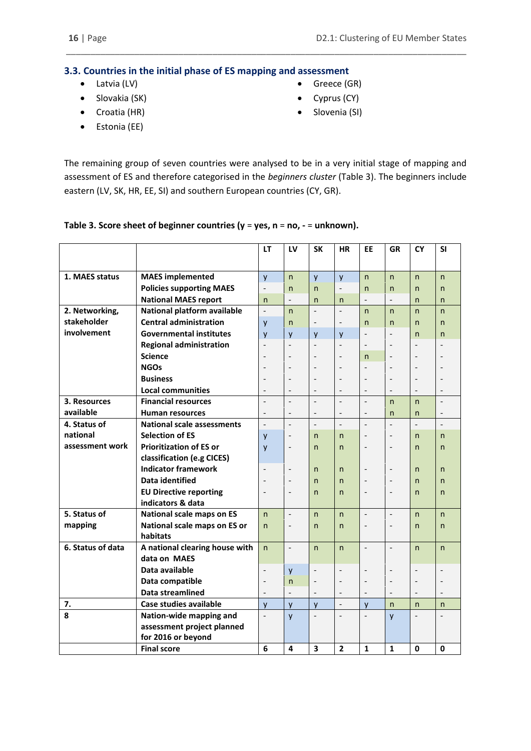#### <span id="page-15-0"></span>**3.3. Countries in the initial phase of ES mapping and assessment**

- Latvia (LV)
- Slovakia (SK)
- Greece (GR)
- Cyprus (CY)
- Slovenia (SI)

 Croatia (HR) Estonia (EE)

The remaining group of seven countries were analysed to be in a very initial stage of mapping and assessment of ES and therefore categorised in the *beginners cluster* (Table 3). The beginners include eastern (LV, SK, HR, EE, SI) and southern European countries (CY, GR).

\_\_\_\_\_\_\_\_\_\_\_\_\_\_\_\_\_\_\_\_\_\_\_\_\_\_\_\_\_\_\_\_\_\_\_\_\_\_\_\_\_\_\_\_\_\_\_\_\_\_\_\_\_\_\_\_\_\_\_\_\_\_\_\_\_\_\_\_\_\_\_\_\_\_\_\_\_\_\_\_\_\_

## **Table 3. Score sheet of beginner countries (y** = **yes, n** = **no, -** = **unknown).**

|                   |                                   | LT                       | LV                           | <b>SK</b>                | <b>HR</b>                | <b>EE</b>                | GR                       | <b>CY</b>                | <b>SI</b>    |
|-------------------|-----------------------------------|--------------------------|------------------------------|--------------------------|--------------------------|--------------------------|--------------------------|--------------------------|--------------|
|                   |                                   |                          |                              |                          |                          |                          |                          |                          |              |
| 1. MAES status    | <b>MAES</b> implemented           | y                        | $\mathsf{n}$                 | y                        | y                        | n                        | n                        | $\mathsf{n}$             | n            |
|                   | <b>Policies supporting MAES</b>   | $\overline{\phantom{a}}$ | $\mathsf{n}$                 | n                        | $\overline{\phantom{m}}$ | n                        | n                        | n                        | n            |
|                   | <b>National MAES report</b>       | n                        | $\overline{\phantom{a}}$     | n                        | n                        |                          |                          | n                        | n            |
| 2. Networking,    | National platform available       | $\overline{\phantom{a}}$ | $\mathsf{n}$                 | $\overline{\phantom{a}}$ | $\overline{a}$           | n.                       | n                        | $\mathsf{n}$             | n            |
| stakeholder       | <b>Central administration</b>     | y                        | n                            | $\overline{\phantom{a}}$ | $\overline{a}$           | n                        | n                        | n                        | n            |
| involvement       | <b>Governmental institutes</b>    | y                        | $\mathsf{v}$                 | y                        | y                        | $\overline{a}$           |                          | n                        | n            |
|                   | <b>Regional administration</b>    | $\overline{\phantom{m}}$ | $\overline{\phantom{a}}$     | $\overline{\phantom{a}}$ | $\overline{\phantom{a}}$ | $\overline{\phantom{0}}$ | $\overline{\phantom{a}}$ | $\overline{a}$           |              |
|                   | <b>Science</b>                    |                          | $\overline{\phantom{a}}$     | $\overline{\phantom{a}}$ |                          | n                        | $\overline{\phantom{a}}$ |                          |              |
|                   | <b>NGOs</b>                       |                          | $\overline{a}$               | $\overline{a}$           |                          | $\overline{a}$           | $\overline{\phantom{a}}$ |                          |              |
|                   | <b>Business</b>                   |                          | $\overline{\phantom{a}}$     | $\overline{\phantom{a}}$ |                          | $\overline{a}$           |                          |                          |              |
|                   | <b>Local communities</b>          | $\overline{\phantom{a}}$ | $\overline{\phantom{a}}$     |                          | $\qquad \qquad -$        | $\overline{a}$           |                          | $\overline{\phantom{a}}$ |              |
| 3. Resources      | <b>Financial resources</b>        |                          | $\overline{\phantom{m}}$     |                          |                          | $\overline{a}$           | $\mathsf{n}$             | $\mathsf{n}$             |              |
| available         | <b>Human resources</b>            | $\overline{\phantom{a}}$ | $\overline{\phantom{a}}$     |                          | $\overline{\phantom{a}}$ | $\overline{a}$           | $\mathsf{n}$             | n                        |              |
| 4. Status of      | <b>National scale assessments</b> | $\overline{a}$           | $\overline{\phantom{m}}$     | $\overline{a}$           | $\overline{a}$           | $\overline{a}$           |                          |                          |              |
| national          | <b>Selection of ES</b>            | y                        | $\qquad \qquad \blacksquare$ | n                        | $\mathsf{n}$             | $\overline{a}$           |                          | n                        | n            |
| assessment work   | <b>Prioritization of ES or</b>    | y                        | $\overline{\phantom{a}}$     | n                        | $\mathsf{n}$             | $\overline{a}$           | $\overline{a}$           | n                        | n            |
|                   | classification (e.g CICES)        |                          |                              |                          |                          |                          |                          |                          |              |
|                   | <b>Indicator framework</b>        | $\overline{a}$           | $\overline{\phantom{a}}$     | n                        | $\mathsf{n}$             | $\overline{a}$           |                          | n                        | n            |
|                   | Data identified                   |                          | $\overline{a}$               | n                        | $\mathsf{n}$             | $\overline{a}$           |                          | n                        | n            |
|                   | <b>EU Directive reporting</b>     | $\overline{a}$           | $\overline{\phantom{a}}$     | n                        | $\mathsf{n}$             | $\overline{a}$           | $\overline{\phantom{a}}$ | n                        | n            |
|                   | indicators & data                 |                          |                              |                          |                          |                          |                          |                          |              |
| 5. Status of      | National scale maps on ES         | $\mathsf{n}$             | $\overline{\phantom{a}}$     | n                        | $\mathsf{n}$             | $\overline{\phantom{m}}$ | $\overline{a}$           | $\mathsf{n}$             | n            |
| mapping           | National scale maps on ES or      | n                        | $\overline{\phantom{a}}$     | n                        | n                        | $\overline{\phantom{0}}$ |                          | n                        | n            |
|                   | habitats                          |                          |                              |                          |                          |                          |                          |                          |              |
| 6. Status of data | A national clearing house with    | $\mathsf{n}$             | $\bar{\phantom{a}}$          | $\mathsf{n}$             | $\mathsf{n}$             | $\overline{\phantom{m}}$ | $\overline{\phantom{m}}$ | $\mathsf{n}$             | n            |
|                   | data on MAES                      |                          |                              |                          |                          |                          |                          |                          |              |
|                   | Data available                    | $\overline{a}$           | y                            | $\overline{\phantom{m}}$ |                          | $\overline{a}$           | $\overline{\phantom{a}}$ | $\overline{\phantom{m}}$ |              |
|                   | Data compatible                   | $\overline{\phantom{a}}$ | $\mathsf{n}$                 | $\overline{\phantom{a}}$ | $\overline{\phantom{a}}$ | $\overline{\phantom{a}}$ | $\overline{a}$           | $\overline{\phantom{a}}$ |              |
|                   | Data streamlined                  | $\overline{\phantom{m}}$ | $\overline{a}$               |                          | $\overline{a}$           | $\overline{\phantom{a}}$ | $\overline{a}$           | $\overline{\phantom{m}}$ |              |
| 7.                | Case studies available            | y                        | y                            | y                        | $\overline{\phantom{a}}$ | y                        | n                        | n                        | $\mathsf{n}$ |
| 8                 | Nation-wide mapping and           |                          | y                            |                          |                          |                          | y                        |                          |              |
|                   | assessment project planned        |                          |                              |                          |                          |                          |                          |                          |              |
|                   | for 2016 or beyond                |                          |                              |                          |                          |                          |                          |                          |              |
|                   | <b>Final score</b>                | 6                        | 4                            | 3                        | $\overline{2}$           | 1                        | 1                        | 0                        | 0            |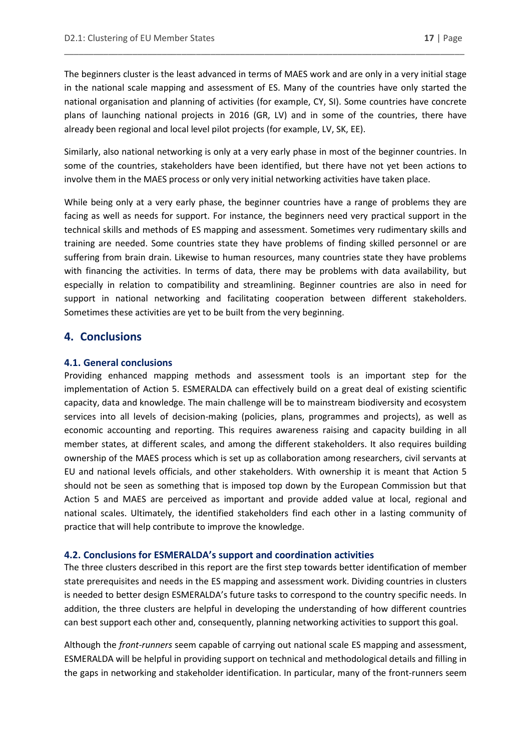The beginners cluster is the least advanced in terms of MAES work and are only in a very initial stage in the national scale mapping and assessment of ES. Many of the countries have only started the national organisation and planning of activities (for example, CY, SI). Some countries have concrete plans of launching national projects in 2016 (GR, LV) and in some of the countries, there have already been regional and local level pilot projects (for example, LV, SK, EE).

\_\_\_\_\_\_\_\_\_\_\_\_\_\_\_\_\_\_\_\_\_\_\_\_\_\_\_\_\_\_\_\_\_\_\_\_\_\_\_\_\_\_\_\_\_\_\_\_\_\_\_\_\_\_\_\_\_\_\_\_\_\_\_\_\_\_\_\_\_\_\_\_\_\_\_\_\_\_\_\_\_\_

Similarly, also national networking is only at a very early phase in most of the beginner countries. In some of the countries, stakeholders have been identified, but there have not yet been actions to involve them in the MAES process or only very initial networking activities have taken place.

While being only at a very early phase, the beginner countries have a range of problems they are facing as well as needs for support. For instance, the beginners need very practical support in the technical skills and methods of ES mapping and assessment. Sometimes very rudimentary skills and training are needed. Some countries state they have problems of finding skilled personnel or are suffering from brain drain. Likewise to human resources, many countries state they have problems with financing the activities. In terms of data, there may be problems with data availability, but especially in relation to compatibility and streamlining. Beginner countries are also in need for support in national networking and facilitating cooperation between different stakeholders. Sometimes these activities are yet to be built from the very beginning.

### <span id="page-16-0"></span>**4. Conclusions**

#### <span id="page-16-1"></span>**4.1. General conclusions**

Providing enhanced mapping methods and assessment tools is an important step for the implementation of Action 5. ESMERALDA can effectively build on a great deal of existing scientific capacity, data and knowledge. The main challenge will be to mainstream biodiversity and ecosystem services into all levels of decision-making (policies, plans, programmes and projects), as well as economic accounting and reporting. This requires awareness raising and capacity building in all member states, at different scales, and among the different stakeholders. It also requires building ownership of the MAES process which is set up as collaboration among researchers, civil servants at EU and national levels officials, and other stakeholders. With ownership it is meant that Action 5 should not be seen as something that is imposed top down by the European Commission but that Action 5 and MAES are perceived as important and provide added value at local, regional and national scales. Ultimately, the identified stakeholders find each other in a lasting community of practice that will help contribute to improve the knowledge.

#### <span id="page-16-2"></span>**4.2. Conclusions for ESMERALDA's support and coordination activities**

The three clusters described in this report are the first step towards better identification of member state prerequisites and needs in the ES mapping and assessment work. Dividing countries in clusters is needed to better design ESMERALDA's future tasks to correspond to the country specific needs. In addition, the three clusters are helpful in developing the understanding of how different countries can best support each other and, consequently, planning networking activities to support this goal.

Although the *front-runners* seem capable of carrying out national scale ES mapping and assessment, ESMERALDA will be helpful in providing support on technical and methodological details and filling in the gaps in networking and stakeholder identification. In particular, many of the front-runners seem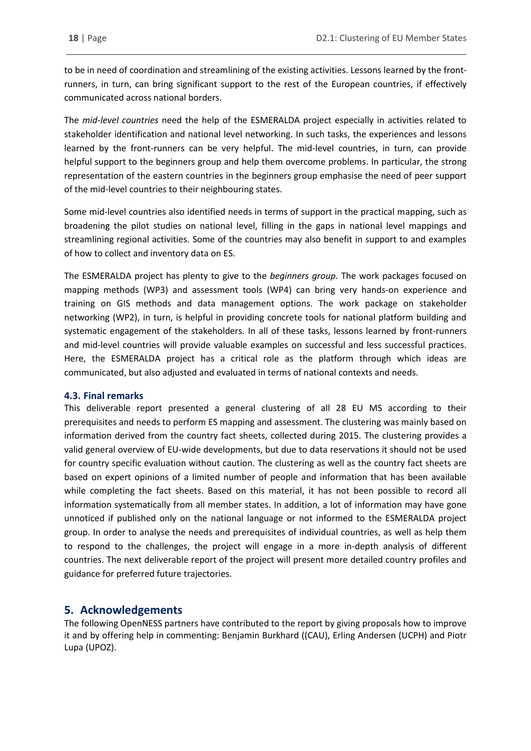to be in need of coordination and streamlining of the existing activities. Lessons learned by the frontrunners, in turn, can bring significant support to the rest of the European countries, if effectively communicated across national borders.

\_\_\_\_\_\_\_\_\_\_\_\_\_\_\_\_\_\_\_\_\_\_\_\_\_\_\_\_\_\_\_\_\_\_\_\_\_\_\_\_\_\_\_\_\_\_\_\_\_\_\_\_\_\_\_\_\_\_\_\_\_\_\_\_\_\_\_\_\_\_\_\_\_\_\_\_\_\_\_\_\_\_

The *mid-level countries* need the help of the ESMERALDA project especially in activities related to stakeholder identification and national level networking. In such tasks, the experiences and lessons learned by the front-runners can be very helpful. The mid-level countries, in turn, can provide helpful support to the beginners group and help them overcome problems. In particular, the strong representation of the eastern countries in the beginners group emphasise the need of peer support of the mid-level countries to their neighbouring states.

Some mid-level countries also identified needs in terms of support in the practical mapping, such as broadening the pilot studies on national level, filling in the gaps in national level mappings and streamlining regional activities. Some of the countries may also benefit in support to and examples of how to collect and inventory data on ES.

The ESMERALDA project has plenty to give to the *beginners group*. The work packages focused on mapping methods (WP3) and assessment tools (WP4) can bring very hands-on experience and training on GIS methods and data management options. The work package on stakeholder networking (WP2), in turn, is helpful in providing concrete tools for national platform building and systematic engagement of the stakeholders. In all of these tasks, lessons learned by front-runners and mid-level countries will provide valuable examples on successful and less successful practices. Here, the ESMERALDA project has a critical role as the platform through which ideas are communicated, but also adjusted and evaluated in terms of national contexts and needs.

#### <span id="page-17-0"></span>**4.3. Final remarks**

This deliverable report presented a general clustering of all 28 EU MS according to their prerequisites and needs to perform ES mapping and assessment. The clustering was mainly based on information derived from the country fact sheets, collected during 2015. The clustering provides a valid general overview of EU-wide developments, but due to data reservations it should not be used for country specific evaluation without caution. The clustering as well as the country fact sheets are based on expert opinions of a limited number of people and information that has been available while completing the fact sheets. Based on this material, it has not been possible to record all information systematically from all member states. In addition, a lot of information may have gone unnoticed if published only on the national language or not informed to the ESMERALDA project group. In order to analyse the needs and prerequisites of individual countries, as well as help them to respond to the challenges, the project will engage in a more in-depth analysis of different countries. The next deliverable report of the project will present more detailed country profiles and guidance for preferred future trajectories.

## <span id="page-17-1"></span>**5. Acknowledgements**

The following OpenNESS partners have contributed to the report by giving proposals how to improve it and by offering help in commenting: Benjamin Burkhard ((CAU), Erling Andersen (UCPH) and Piotr Lupa (UPOZ).